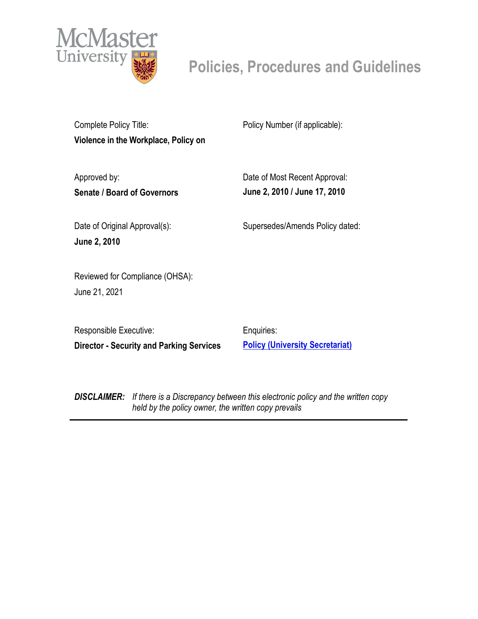

# **Policies, Procedures and Guidelines**

Complete Policy Title: **Violence in the Workplace, Policy on** Policy Number (if applicable):

Approved by: **Senate / Board of Governors**

Date of Most Recent Approval: **June 2, 2010 / June 17, 2010**

Date of Original Approval(s): **June 2, 2010**

Supersedes/Amends Policy dated:

Reviewed for Compliance (OHSA): June 21, 2021

Responsible Executive: **Director - Security and Parking Services**

Enquiries: **[Policy \(University Secretariat\)](mailto:policy@mcmaster.ca?subject=%20Inquiry)**

*DISCLAIMER: If there is a Discrepancy between this electronic policy and the written copy held by the policy owner, the written copy prevails*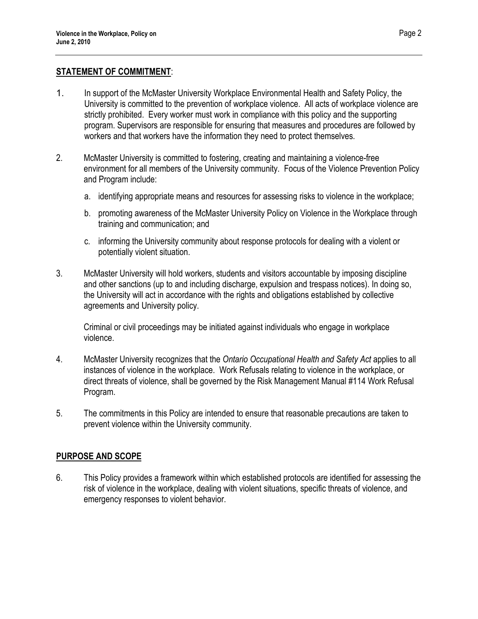#### **STATEMENT OF COMMITMENT**:

- 1. In support of the McMaster University Workplace Environmental Health and Safety Policy, the University is committed to the prevention of workplace violence. All acts of workplace violence are strictly prohibited. Every worker must work in compliance with this policy and the supporting program. Supervisors are responsible for ensuring that measures and procedures are followed by workers and that workers have the information they need to protect themselves.
- 2. McMaster University is committed to fostering, creating and maintaining a violence-free environment for all members of the University community. Focus of the Violence Prevention Policy and Program include:
	- a. identifying appropriate means and resources for assessing risks to violence in the workplace;
	- b. promoting awareness of the McMaster University Policy on Violence in the Workplace through training and communication; and
	- c. informing the University community about response protocols for dealing with a violent or potentially violent situation.
- 3. McMaster University will hold workers, students and visitors accountable by imposing discipline and other sanctions (up to and including discharge, expulsion and trespass notices). In doing so, the University will act in accordance with the rights and obligations established by collective agreements and University policy.

Criminal or civil proceedings may be initiated against individuals who engage in workplace violence.

- 4. McMaster University recognizes that the *Ontario Occupational Health and Safety Act* applies to all instances of violence in the workplace. Work Refusals relating to violence in the workplace, or direct threats of violence, shall be governed by the Risk Management Manual #114 Work Refusal Program.
- 5. The commitments in this Policy are intended to ensure that reasonable precautions are taken to prevent violence within the University community.

### **PURPOSE AND SCOPE**

6. This Policy provides a framework within which established protocols are identified for assessing the risk of violence in the workplace, dealing with violent situations, specific threats of violence, and emergency responses to violent behavior.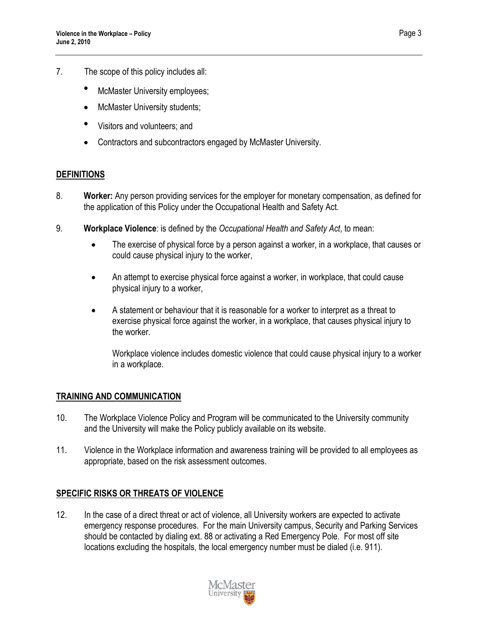- 7. The scope of this policy includes all:
	- McMaster University employees;
	- McMaster University students;
	- Visitors and volunteers; and
	- Contractors and subcontractors engaged by McMaster University.

### **DEFINITIONS**

- 8. **Worker:** Any person providing services for the employer for monetary compensation, as defined for the application of this Policy under the Occupational Health and Safety Act.
- 9. **Workplace Violence**: is defined by the *Occupational Health and Safety Act*, to mean:
	- The exercise of physical force by a person against a worker, in a workplace, that causes or could cause physical injury to the worker,
	- An attempt to exercise physical force against a worker, in workplace, that could cause physical injury to a worker,
	- A statement or behaviour that it is reasonable for a worker to interpret as a threat to exercise physical force against the worker, in a workplace, that causes physical injury to the worker.

Workplace violence includes domestic violence that could cause physical injury to a worker in a workplace.

### **TRAINING AND COMMUNICATION**

- 10. The Workplace Violence Policy and Program will be communicated to the University community and the University will make the Policy publicly available on its website.
- 11. Violence in the Workplace information and awareness training will be provided to all employees as appropriate, based on the risk assessment outcomes.

### **SPECIFIC RISKS OR THREATS OF VIOLENCE**

12. In the case of a direct threat or act of violence, all University workers are expected to activate emergency response procedures. For the main University campus, Security and Parking Services should be contacted by dialing ext. 88 or activating a Red Emergency Pole. For most off site locations excluding the hospitals, the local emergency number must be dialed (i.e. 911).